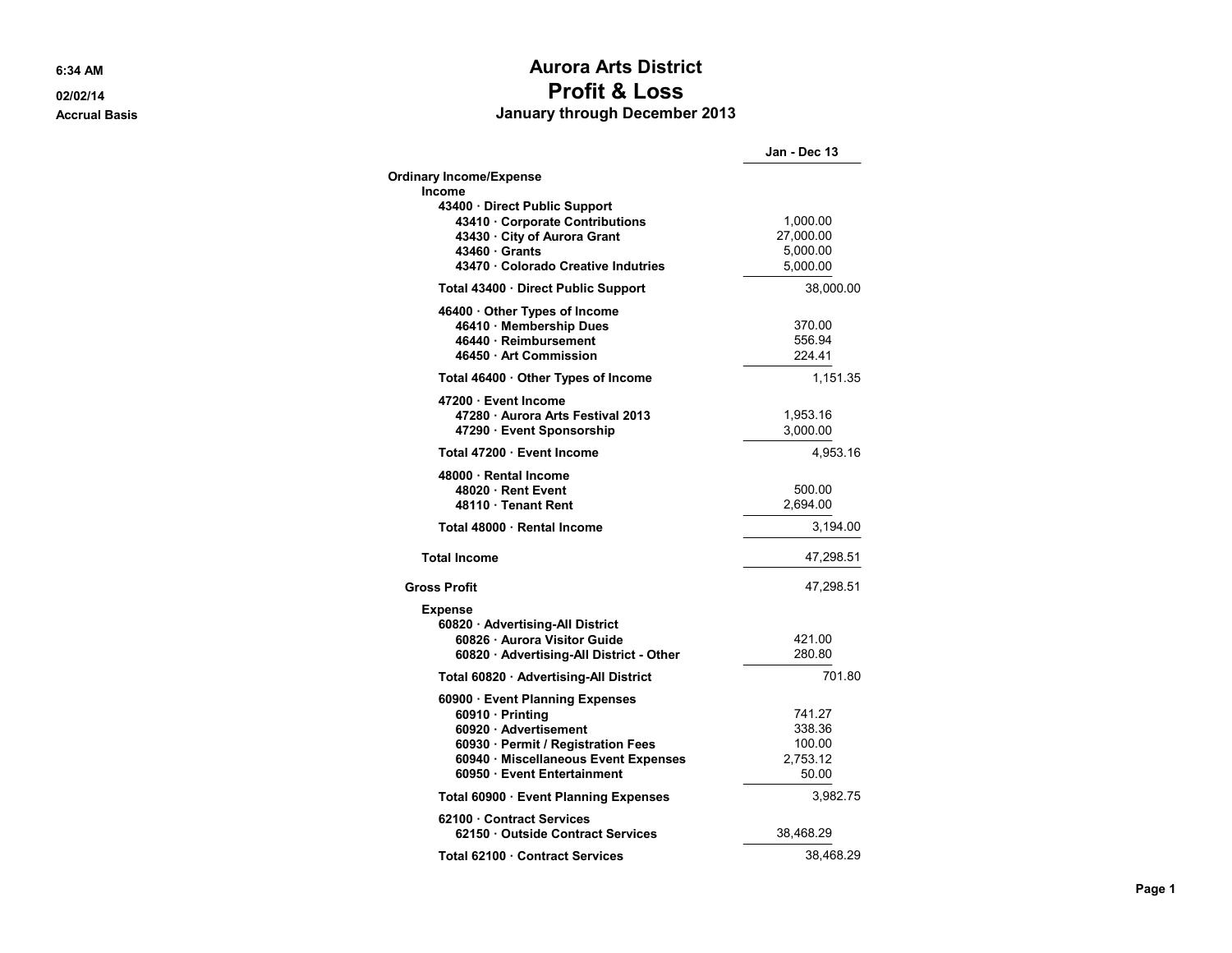6:34 AM

02/02/14 **Accrual Basis** 

## **Aurora Arts District Profit & Loss** January through December 2013

|                                                                                            | Jan - Dec 13          |
|--------------------------------------------------------------------------------------------|-----------------------|
| <b>Ordinary Income/Expense</b>                                                             |                       |
| Income                                                                                     |                       |
| 43400 Direct Public Support<br>43410 Corporate Contributions<br>43430 City of Aurora Grant | 1,000.00<br>27,000.00 |
| 43460 Grants<br>43470 Colorado Creative Indutries                                          | 5,000.00<br>5.000.00  |
|                                                                                            |                       |
| Total 43400 · Direct Public Support                                                        | 38,000.00             |
| 46400 Other Types of Income<br>46410 Membership Dues                                       | 370.00                |
| 46440 · Reimbursement                                                                      | 556.94                |
| 46450 Art Commission                                                                       | 224.41                |
| Total 46400 · Other Types of Income                                                        | 1,151.35              |
| 47200 Event Income                                                                         |                       |
| 47280 Aurora Arts Festival 2013                                                            | 1,953.16              |
| 47290 · Event Sponsorship                                                                  | 3,000.00              |
| Total 47200 · Event Income                                                                 | 4,953.16              |
| 48000 Rental Income                                                                        |                       |
| 48020 Rent Event                                                                           | 500.00                |
| 48110 · Tenant Rent                                                                        | 2,694.00              |
| Total 48000 · Rental Income                                                                | 3,194.00              |
| <b>Total Income</b>                                                                        | 47,298.51             |
| <b>Gross Profit</b>                                                                        | 47,298.51             |
| <b>Expense</b>                                                                             |                       |
| 60820 Advertising-All District                                                             |                       |
| 60826 · Aurora Visitor Guide                                                               | 421.00                |
| 60820 Advertising-All District - Other                                                     | 280.80                |
| Total 60820 · Advertising-All District                                                     | 701.80                |
| 60900 · Event Planning Expenses                                                            |                       |
| 60910 · Printing                                                                           | 741.27                |
| 60920 Advertisement                                                                        | 338.36                |
| 60930 · Permit / Registration Fees                                                         | 100.00                |
| 60940 · Miscellaneous Event Expenses                                                       | 2,753.12              |
| 60950 Event Entertainment                                                                  | 50.00                 |
| Total 60900 · Event Planning Expenses                                                      | 3,982.75              |
| 62100 Contract Services                                                                    |                       |
| 62150 Outside Contract Services                                                            | 38,468.29             |
| Total 62100 · Contract Services                                                            | 38,468.29             |